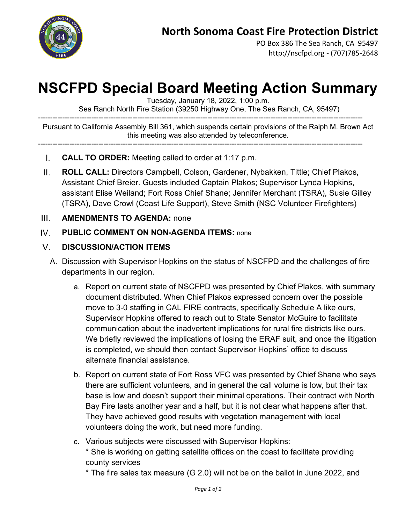

PO Box 386 The Sea Ranch, CA 95497 http://nscfpd.org - (707)785-2648

# **NSCFPD Special Board Meeting Action Summary**

Tuesday, January 18, 2022, 1:00 p.m.

Sea Ranch North Fire Station (39250 Highway One, The Sea Ranch, CA, 95497)

-------------------------------------------------------------------------------------------------------------------------------------- Pursuant to California Assembly Bill 361, which suspends certain provisions of the Ralph M. Brown Act this meeting was also attended by teleconference.

- --------------------------------------------------------------------------------------------------------------------------------------
	- $\mathbf{L}$ **CALL TO ORDER:** Meeting called to order at 1:17 p.m.
- $\Pi$ . **ROLL CALL:** Directors Campbell, Colson, Gardener, Nybakken, Tittle; Chief Plakos, Assistant Chief Breier. Guests included Captain Plakos; Supervisor Lynda Hopkins, assistant Elise Weiland; Fort Ross Chief Shane; Jennifer Merchant (TSRA), Susie Gilley (TSRA), Dave Crowl (Coast Life Support), Steve Smith (NSC Volunteer Firefighters)

#### $III.$ **AMENDMENTS TO AGENDA:** none

#### $W$ **PUBLIC COMMENT ON NON-AGENDA ITEMS:** none

### $V_{\cdot}$ **DISCUSSION/ACTION ITEMS**

- A. Discussion with Supervisor Hopkins on the status of NSCFPD and the challenges of fire departments in our region.
	- a. Report on current state of NSCFPD was presented by Chief Plakos, with summary document distributed. When Chief Plakos expressed concern over the possible move to 3-0 staffing in CAL FIRE contracts, specifically Schedule A like ours, Supervisor Hopkins offered to reach out to State Senator McGuire to facilitate communication about the inadvertent implications for rural fire districts like ours. We briefly reviewed the implications of losing the ERAF suit, and once the litigation is completed, we should then contact Supervisor Hopkins' office to discuss alternate financial assistance.
	- b. Report on current state of Fort Ross VFC was presented by Chief Shane who says there are sufficient volunteers, and in general the call volume is low, but their tax base is low and doesn't support their minimal operations. Their contract with North Bay Fire lasts another year and a half, but it is not clear what happens after that. They have achieved good results with vegetation management with local volunteers doing the work, but need more funding.
	- c. Various subjects were discussed with Supervisor Hopkins:

\* She is working on getting satellite offices on the coast to facilitate providing county services

\* The fire sales tax measure (G 2.0) will not be on the ballot in June 2022, and